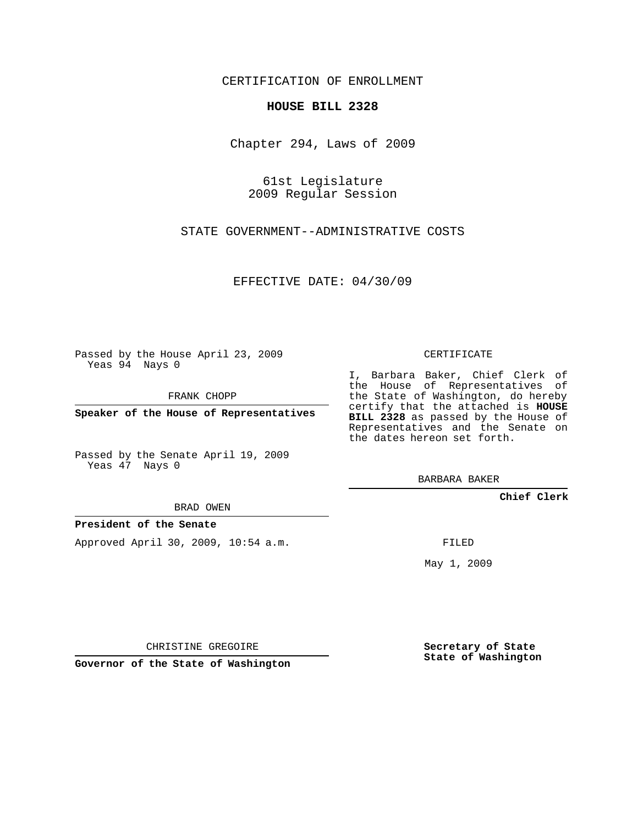CERTIFICATION OF ENROLLMENT

## **HOUSE BILL 2328**

Chapter 294, Laws of 2009

61st Legislature 2009 Regular Session

STATE GOVERNMENT--ADMINISTRATIVE COSTS

EFFECTIVE DATE: 04/30/09

Passed by the House April 23, 2009 Yeas 94 Nays 0

FRANK CHOPP

**Speaker of the House of Representatives**

Passed by the Senate April 19, 2009 Yeas 47 Nays 0

BRAD OWEN

## **President of the Senate**

Approved April 30, 2009, 10:54 a.m.

CERTIFICATE

I, Barbara Baker, Chief Clerk of the House of Representatives of the State of Washington, do hereby certify that the attached is **HOUSE BILL 2328** as passed by the House of Representatives and the Senate on the dates hereon set forth.

BARBARA BAKER

**Chief Clerk**

FILED

May 1, 2009

CHRISTINE GREGOIRE

**Governor of the State of Washington**

**Secretary of State State of Washington**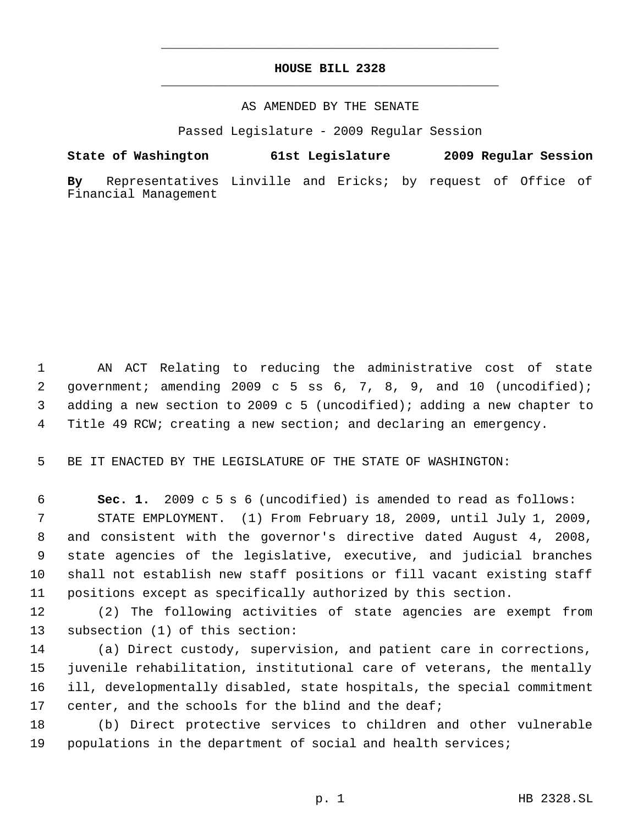## **HOUSE BILL 2328** \_\_\_\_\_\_\_\_\_\_\_\_\_\_\_\_\_\_\_\_\_\_\_\_\_\_\_\_\_\_\_\_\_\_\_\_\_\_\_\_\_\_\_\_\_

\_\_\_\_\_\_\_\_\_\_\_\_\_\_\_\_\_\_\_\_\_\_\_\_\_\_\_\_\_\_\_\_\_\_\_\_\_\_\_\_\_\_\_\_\_

## AS AMENDED BY THE SENATE

Passed Legislature - 2009 Regular Session

**State of Washington 61st Legislature 2009 Regular Session**

**By** Representatives Linville and Ericks; by request of Office of Financial Management

 AN ACT Relating to reducing the administrative cost of state government; amending 2009 c 5 ss 6, 7, 8, 9, and 10 (uncodified); adding a new section to 2009 c 5 (uncodified); adding a new chapter to Title 49 RCW; creating a new section; and declaring an emergency.

BE IT ENACTED BY THE LEGISLATURE OF THE STATE OF WASHINGTON:

 **Sec. 1.** 2009 c 5 s 6 (uncodified) is amended to read as follows: STATE EMPLOYMENT. (1) From February 18, 2009, until July 1, 2009, and consistent with the governor's directive dated August 4, 2008, state agencies of the legislative, executive, and judicial branches shall not establish new staff positions or fill vacant existing staff positions except as specifically authorized by this section.

 (2) The following activities of state agencies are exempt from subsection (1) of this section:

 (a) Direct custody, supervision, and patient care in corrections, juvenile rehabilitation, institutional care of veterans, the mentally ill, developmentally disabled, state hospitals, the special commitment 17 center, and the schools for the blind and the deaf;

 (b) Direct protective services to children and other vulnerable populations in the department of social and health services;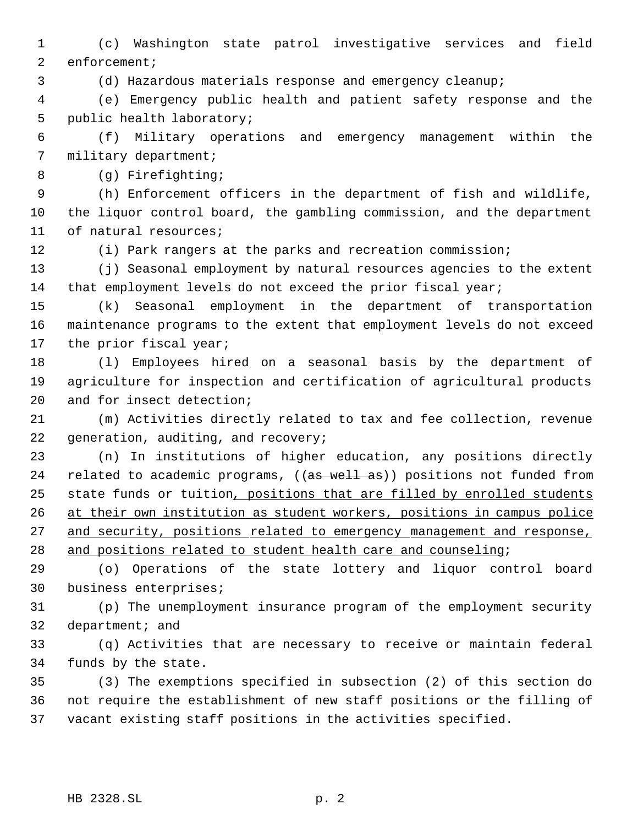(c) Washington state patrol investigative services and field enforcement;

(d) Hazardous materials response and emergency cleanup;

 (e) Emergency public health and patient safety response and the public health laboratory;

 (f) Military operations and emergency management within the military department;

(g) Firefighting;

 (h) Enforcement officers in the department of fish and wildlife, the liquor control board, the gambling commission, and the department of natural resources;

(i) Park rangers at the parks and recreation commission;

 (j) Seasonal employment by natural resources agencies to the extent 14 that employment levels do not exceed the prior fiscal year;

 (k) Seasonal employment in the department of transportation maintenance programs to the extent that employment levels do not exceed the prior fiscal year;

 (l) Employees hired on a seasonal basis by the department of agriculture for inspection and certification of agricultural products and for insect detection;

 (m) Activities directly related to tax and fee collection, revenue 22 generation, auditing, and recovery;

 (n) In institutions of higher education, any positions directly 24 related to academic programs, ((as well as)) positions not funded from 25 state funds or tuition, positions that are filled by enrolled students at their own institution as student workers, positions in campus police 27 and security, positions related to emergency management and response, and positions related to student health care and counseling;

 (o) Operations of the state lottery and liquor control board business enterprises;

 (p) The unemployment insurance program of the employment security 32 department; and

 (q) Activities that are necessary to receive or maintain federal funds by the state.

 (3) The exemptions specified in subsection (2) of this section do not require the establishment of new staff positions or the filling of vacant existing staff positions in the activities specified.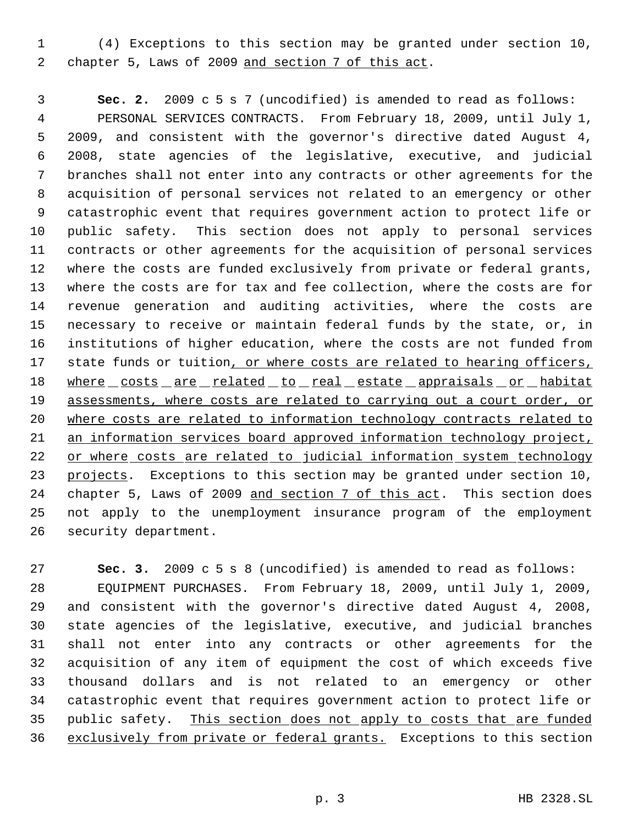(4) Exceptions to this section may be granted under section 10, chapter 5, Laws of 2009 and section 7 of this act.

 **Sec. 2.** 2009 c 5 s 7 (uncodified) is amended to read as follows: PERSONAL SERVICES CONTRACTS. From February 18, 2009, until July 1, 2009, and consistent with the governor's directive dated August 4, 2008, state agencies of the legislative, executive, and judicial branches shall not enter into any contracts or other agreements for the acquisition of personal services not related to an emergency or other catastrophic event that requires government action to protect life or public safety. This section does not apply to personal services contracts or other agreements for the acquisition of personal services where the costs are funded exclusively from private or federal grants, where the costs are for tax and fee collection, where the costs are for revenue generation and auditing activities, where the costs are necessary to receive or maintain federal funds by the state, or, in institutions of higher education, where the costs are not funded from 17 state funds or tuition, or where costs are related to hearing officers, 18 where costs are related to real estate appraisals or habitat 19 assessments, where costs are related to carrying out a court order, or where costs are related to information technology contracts related to an information services board approved information technology project, 22 or where costs are related to judicial information system technology projects. Exceptions to this section may be granted under section 10, chapter 5, Laws of 2009 and section 7 of this act. This section does not apply to the unemployment insurance program of the employment security department.

 **Sec. 3.** 2009 c 5 s 8 (uncodified) is amended to read as follows: EQUIPMENT PURCHASES. From February 18, 2009, until July 1, 2009, and consistent with the governor's directive dated August 4, 2008, state agencies of the legislative, executive, and judicial branches shall not enter into any contracts or other agreements for the acquisition of any item of equipment the cost of which exceeds five thousand dollars and is not related to an emergency or other catastrophic event that requires government action to protect life or 35 public safety. This section does not apply to costs that are funded exclusively from private or federal grants. Exceptions to this section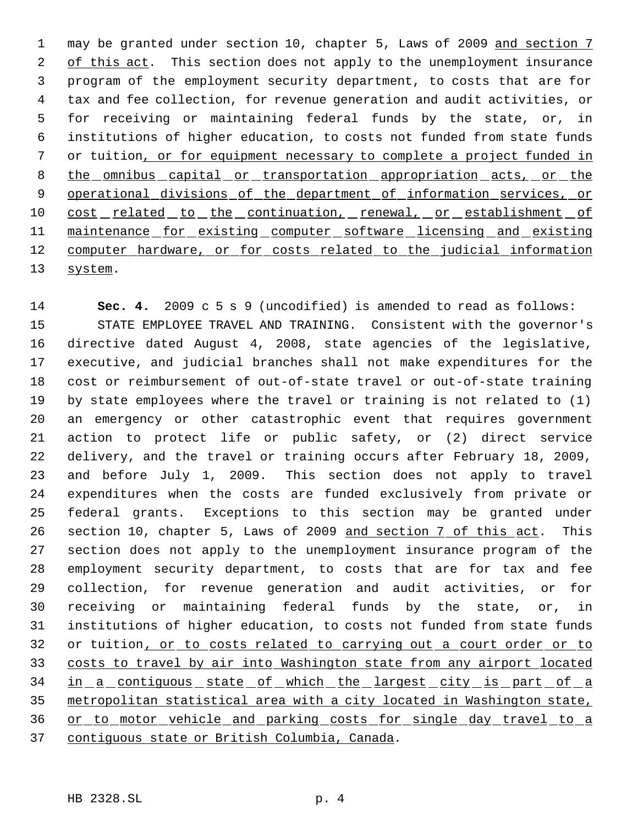1 may be granted under section 10, chapter 5, Laws of 2009 and section 7 2 of this act. This section does not apply to the unemployment insurance program of the employment security department, to costs that are for tax and fee collection, for revenue generation and audit activities, or for receiving or maintaining federal funds by the state, or, in institutions of higher education, to costs not funded from state funds or tuition, or for equipment necessary to complete a project funded in 8 the omnibus capital or transportation appropriation acts, or the 9 operational divisions of the department of information services, or 10 cost related to the continuation, renewal, or establishment of 11 maintenance for existing computer software licensing and existing 12 computer hardware, or for costs related to the judicial information system.

 **Sec. 4.** 2009 c 5 s 9 (uncodified) is amended to read as follows: STATE EMPLOYEE TRAVEL AND TRAINING. Consistent with the governor's directive dated August 4, 2008, state agencies of the legislative, executive, and judicial branches shall not make expenditures for the cost or reimbursement of out-of-state travel or out-of-state training by state employees where the travel or training is not related to (1) an emergency or other catastrophic event that requires government action to protect life or public safety, or (2) direct service delivery, and the travel or training occurs after February 18, 2009, and before July 1, 2009. This section does not apply to travel expenditures when the costs are funded exclusively from private or federal grants. Exceptions to this section may be granted under 26 section 10, chapter 5, Laws of 2009 and section 7 of this act. This section does not apply to the unemployment insurance program of the employment security department, to costs that are for tax and fee collection, for revenue generation and audit activities, or for receiving or maintaining federal funds by the state, or, in institutions of higher education, to costs not funded from state funds 32 or tuition, or to costs related to carrying out a court order or to costs to travel by air into Washington state from any airport located 34 in a contiguous state of which the largest city is part of a metropolitan statistical area with a city located in Washington state, or to motor vehicle and parking costs for single day travel to a contiguous state or British Columbia, Canada.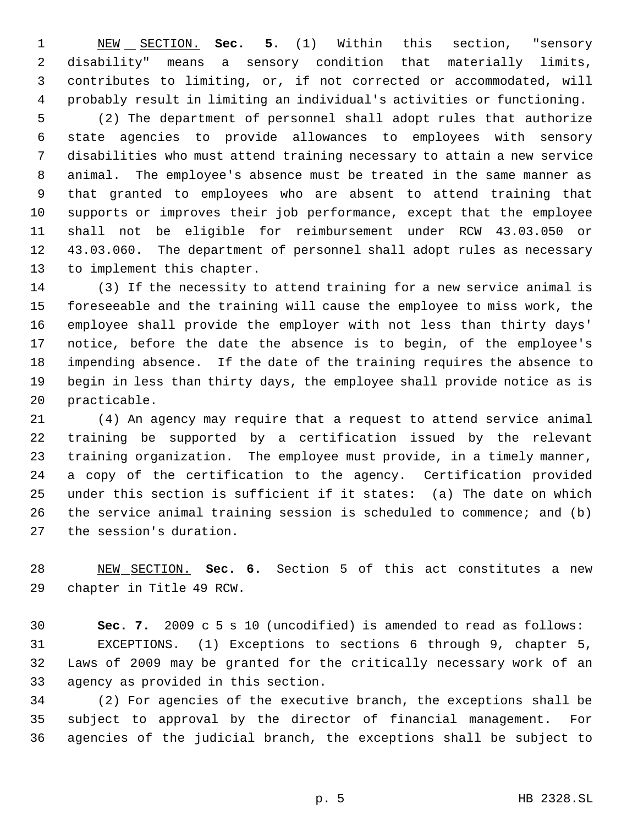NEW SECTION. **Sec. 5.** (1) Within this section, "sensory disability" means a sensory condition that materially limits, contributes to limiting, or, if not corrected or accommodated, will probably result in limiting an individual's activities or functioning.

 (2) The department of personnel shall adopt rules that authorize state agencies to provide allowances to employees with sensory disabilities who must attend training necessary to attain a new service animal. The employee's absence must be treated in the same manner as that granted to employees who are absent to attend training that supports or improves their job performance, except that the employee shall not be eligible for reimbursement under RCW 43.03.050 or 43.03.060. The department of personnel shall adopt rules as necessary to implement this chapter.

 (3) If the necessity to attend training for a new service animal is foreseeable and the training will cause the employee to miss work, the employee shall provide the employer with not less than thirty days' notice, before the date the absence is to begin, of the employee's impending absence. If the date of the training requires the absence to begin in less than thirty days, the employee shall provide notice as is practicable.

 (4) An agency may require that a request to attend service animal training be supported by a certification issued by the relevant training organization. The employee must provide, in a timely manner, a copy of the certification to the agency. Certification provided under this section is sufficient if it states: (a) The date on which the service animal training session is scheduled to commence; and (b) the session's duration.

 NEW SECTION. **Sec. 6.** Section 5 of this act constitutes a new chapter in Title 49 RCW.

 **Sec. 7.** 2009 c 5 s 10 (uncodified) is amended to read as follows: EXCEPTIONS. (1) Exceptions to sections 6 through 9, chapter 5, Laws of 2009 may be granted for the critically necessary work of an agency as provided in this section.

 (2) For agencies of the executive branch, the exceptions shall be subject to approval by the director of financial management. For agencies of the judicial branch, the exceptions shall be subject to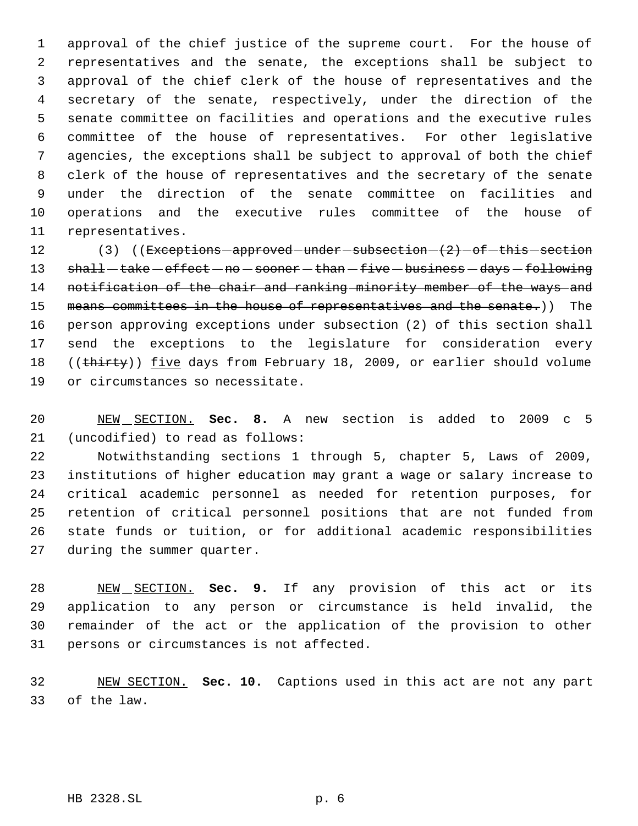approval of the chief justice of the supreme court. For the house of representatives and the senate, the exceptions shall be subject to approval of the chief clerk of the house of representatives and the secretary of the senate, respectively, under the direction of the senate committee on facilities and operations and the executive rules committee of the house of representatives. For other legislative agencies, the exceptions shall be subject to approval of both the chief clerk of the house of representatives and the secretary of the senate under the direction of the senate committee on facilities and operations and the executive rules committee of the house of representatives.

12 (3) ((Exceptions approved under subsection  $(2)$  of this section 13 shall-take-effect-no-sooner-than-five-business-days-following notification of the chair and ranking minority member of the ways and 15 means committees in the house of representatives and the senate.)) The person approving exceptions under subsection (2) of this section shall send the exceptions to the legislature for consideration every 18 ((thirty)) five days from February 18, 2009, or earlier should volume or circumstances so necessitate.

 NEW SECTION. **Sec. 8.** A new section is added to 2009 c 5 (uncodified) to read as follows:

 Notwithstanding sections 1 through 5, chapter 5, Laws of 2009, institutions of higher education may grant a wage or salary increase to critical academic personnel as needed for retention purposes, for retention of critical personnel positions that are not funded from state funds or tuition, or for additional academic responsibilities during the summer quarter.

 NEW SECTION. **Sec. 9.** If any provision of this act or its application to any person or circumstance is held invalid, the remainder of the act or the application of the provision to other persons or circumstances is not affected.

 NEW SECTION. **Sec. 10.** Captions used in this act are not any part of the law.